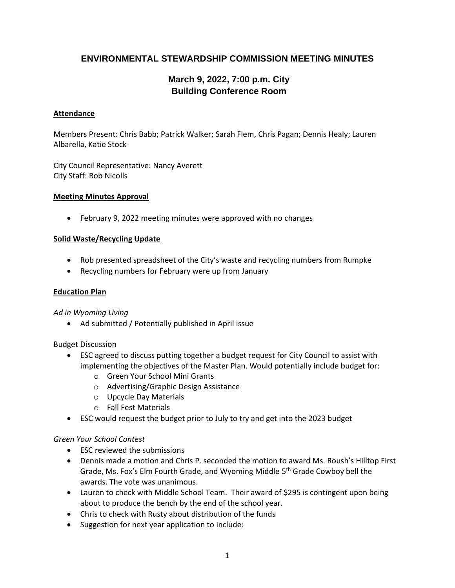# **ENVIRONMENTAL STEWARDSHIP COMMISSION MEETING MINUTES**

# **March 9, 2022, 7:00 p.m. City Building Conference Room**

## **Attendance**

Members Present: Chris Babb; Patrick Walker; Sarah Flem, Chris Pagan; Dennis Healy; Lauren Albarella, Katie Stock

City Council Representative: Nancy Averett City Staff: Rob Nicolls

#### **Meeting Minutes Approval**

• February 9, 2022 meeting minutes were approved with no changes

## **Solid Waste/Recycling Update**

- Rob presented spreadsheet of the City's waste and recycling numbers from Rumpke
- Recycling numbers for February were up from January

#### **Education Plan**

*Ad in Wyoming Living* 

• Ad submitted / Potentially published in April issue

Budget Discussion

- ESC agreed to discuss putting together a budget request for City Council to assist with implementing the objectives of the Master Plan. Would potentially include budget for:
	- o Green Your School Mini Grants
	- o Advertising/Graphic Design Assistance
	- o Upcycle Day Materials
	- o Fall Fest Materials
- ESC would request the budget prior to July to try and get into the 2023 budget

#### *Green Your School Contest*

- ESC reviewed the submissions
- Dennis made a motion and Chris P. seconded the motion to award Ms. Roush's Hilltop First Grade, Ms. Fox's Elm Fourth Grade, and Wyoming Middle 5<sup>th</sup> Grade Cowboy bell the awards. The vote was unanimous.
- Lauren to check with Middle School Team. Their award of \$295 is contingent upon being about to produce the bench by the end of the school year.
- Chris to check with Rusty about distribution of the funds
- Suggestion for next year application to include: